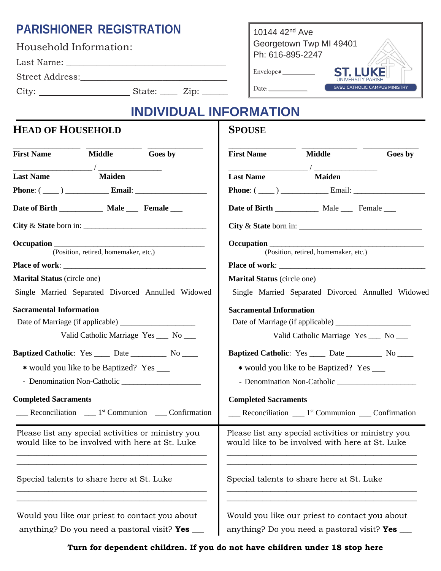## **PARISHIONER REGISTRATION**

| Household Information: |             |  |  |  |
|------------------------|-------------|--|--|--|
| Last Name:             |             |  |  |  |
| Street Address:        |             |  |  |  |
| City:                  | State: Zip: |  |  |  |

10144 42nd Ave Georgetown Twp MI 49401 Ph: 616-895-2247  $Envelope \#$ **ST. LUKE** UNIVERSITY PARI **GVSU CATHOLIC CAMPUS MINISTRY** Date:

# **INDIVIDUAL INFORMATION**

**SPOUSE**

#### **HEAD OF HOUSEHOLD**

| <b>First Name</b>                                                                                                                                                                                              | <b>Middle</b> | Goes by                                                                                       | <b>First Name</b>                              | <b>Middle</b>                                                                   | Goes by                                            |
|----------------------------------------------------------------------------------------------------------------------------------------------------------------------------------------------------------------|---------------|-----------------------------------------------------------------------------------------------|------------------------------------------------|---------------------------------------------------------------------------------|----------------------------------------------------|
| <b>Last Name</b>                                                                                                                                                                                               | <b>Maiden</b> |                                                                                               | <b>Last Name</b>                               | <b>Maiden</b>                                                                   |                                                    |
|                                                                                                                                                                                                                |               |                                                                                               |                                                |                                                                                 |                                                    |
| Date of Birth ______________ Male ______ Female ____                                                                                                                                                           |               |                                                                                               |                                                | Date of Birth _____________ Male ______ Female ____                             |                                                    |
|                                                                                                                                                                                                                |               |                                                                                               |                                                |                                                                                 | City & State born in: $\sqrt{\frac{1}{2}$          |
| Occupation (Position, retired, homemaker, etc.)                                                                                                                                                                |               |                                                                                               |                                                | (Position, retired, homemaker, etc.)                                            |                                                    |
|                                                                                                                                                                                                                |               |                                                                                               |                                                |                                                                                 |                                                    |
| <b>Marital Status</b> (circle one)                                                                                                                                                                             |               | <b>Marital Status</b> (circle one)                                                            |                                                |                                                                                 |                                                    |
|                                                                                                                                                                                                                |               | Single Married Separated Divorced Annulled Widowed                                            |                                                |                                                                                 | Single Married Separated Divorced Annulled Widowed |
| <b>Sacramental Information</b>                                                                                                                                                                                 |               | <b>Sacramental Information</b>                                                                |                                                |                                                                                 |                                                    |
|                                                                                                                                                                                                                |               |                                                                                               |                                                |                                                                                 |                                                    |
|                                                                                                                                                                                                                |               | Valid Catholic Marriage Yes __ No __                                                          | Valid Catholic Marriage Yes __ No __           |                                                                                 |                                                    |
| <b>Baptized Catholic:</b> Yes _____ Date ___________ No _____                                                                                                                                                  |               |                                                                                               |                                                | <b>Baptized Catholic:</b> Yes ______ Date _____________ No ______               |                                                    |
| * would you like to be Baptized? Yes ____                                                                                                                                                                      |               |                                                                                               |                                                | * would you like to be Baptized? Yes ____                                       |                                                    |
|                                                                                                                                                                                                                |               |                                                                                               |                                                |                                                                                 |                                                    |
| <b>Completed Sacraments</b>                                                                                                                                                                                    |               |                                                                                               | <b>Completed Sacraments</b>                    |                                                                                 |                                                    |
|                                                                                                                                                                                                                |               | $\frac{1}{2}$ Reconciliation $\frac{1}{2}$ <sup>st</sup> Communion $\frac{1}{2}$ Confirmation |                                                | $\frac{1}{2}$ Reconciliation $\frac{1}{2}$ Communion $\frac{1}{2}$ Confirmation |                                                    |
| Please list any special activities or ministry you<br>Please list any special activities or ministry you<br>would like to be involved with here at St. Luke<br>would like to be involved with here at St. Luke |               |                                                                                               |                                                |                                                                                 |                                                    |
| Special talents to share here at St. Luke                                                                                                                                                                      |               | Special talents to share here at St. Luke                                                     |                                                |                                                                                 |                                                    |
| Would you like our priest to contact you about                                                                                                                                                                 |               |                                                                                               | Would you like our priest to contact you about |                                                                                 |                                                    |

anything? Do you need a pastoral visit? **Yes \_\_\_**

st to contact you about anything? Do you need a pastoral visit? **Yes \_\_\_**

**Turn for dependent children. If you do not have children under 18 stop here**